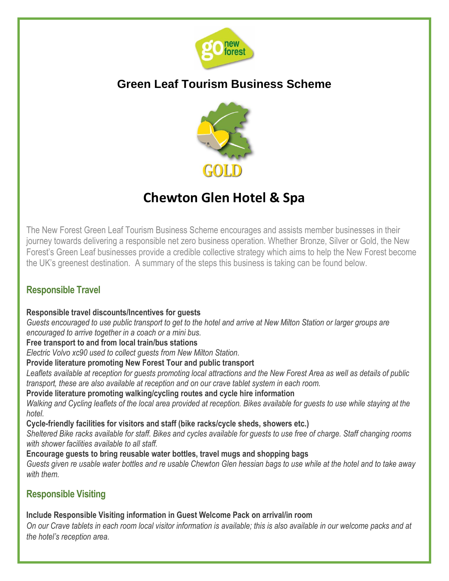

# **Green Leaf Tourism Business Scheme**



# **Chewton Glen Hotel & Spa**

The New Forest Green Leaf Tourism Business Scheme encourages and assists member businesses in their journey towards delivering a responsible net zero business operation. Whether Bronze, Silver or Gold, the New Forest's Green Leaf businesses provide a credible collective strategy which aims to help the New Forest become the UK's greenest destination. A summary of the steps this business is taking can be found below.

# **Responsible Travel**

### **Responsible travel discounts/Incentives for guests**

*Guests encouraged to use public transport to get to the hotel and arrive at New Milton Station or larger groups are encouraged to arrive together in a coach or a mini bus.*

### **Free transport to and from local train/bus stations**

*Electric Volvo xc90 used to collect guests from New Milton Station.*

### **Provide literature promoting New Forest Tour and public transport**

*Leaflets available at reception for guests promoting local attractions and the New Forest Area as well as details of public transport, these are also available at reception and on our crave tablet system in each room.*

### **Provide literature promoting walking/cycling routes and cycle hire information**

*Walking and Cycling leaflets of the local area provided at reception. Bikes available for guests to use while staying at the hotel.*

### **Cycle-friendly facilities for visitors and staff (bike racks/cycle sheds, showers etc.)**

*Sheltered Bike racks available for staff. Bikes and cycles available for guests to use free of charge. Staff changing rooms with shower facilities available to all staff.*

**Encourage guests to bring reusable water bottles, travel mugs and shopping bags** 

*Guests given re usable water bottles and re usable Chewton Glen hessian bags to use while at the hotel and to take away with them.*

# **Responsible Visiting**

### **Include Responsible Visiting information in Guest Welcome Pack on arrival/in room**

*On our Crave tablets in each room local visitor information is available; this is also available in our welcome packs and at the hotel's reception area.*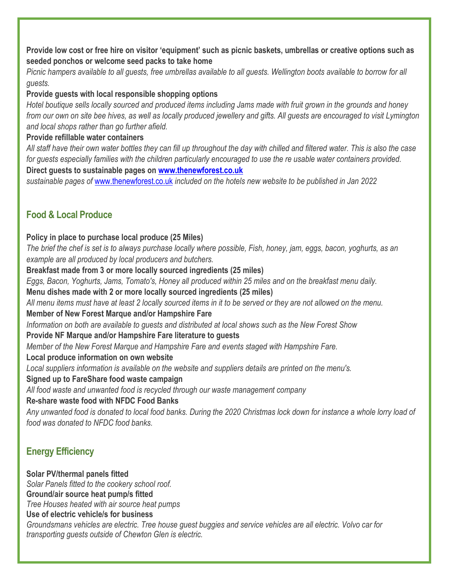### **Provide low cost or free hire on visitor 'equipment' such as picnic baskets, umbrellas or creative options such as seeded ponchos or welcome seed packs to take home**

*Picnic hampers available to all guests, free umbrellas available to all guests. Wellington boots available to borrow for all guests.*

## **Provide guests with local responsible shopping options**

*Hotel boutique sells locally sourced and produced items including Jams made with fruit grown in the grounds and honey from our own on site bee hives, as well as locally produced jewellery and gifts. All guests are encouraged to visit Lymington and local shops rather than go further afield.*

### **Provide refillable water containers**

*All staff have their own water bottles they can fill up throughout the day with chilled and filtered water. This is also the case for guests especially families with the children particularly encouraged to use the re usable water containers provided.* **Direct guests to sustainable pages on [www.thenewforest.co.uk](http://www.thenewforest.co.uk/)**

*sustainable pages of* [www.thenewforest.co.uk](http://www.thenewforest.co.uk/) *included on the hotels new website to be published in Jan 2022*

# **Food & Local Produce**

# **Policy in place to purchase local produce (25 Miles)**

*The brief the chef is set is to always purchase locally where possible, Fish, honey, jam, eggs, bacon, yoghurts, as an example are all produced by local producers and butchers.*

**Breakfast made from 3 or more locally sourced ingredients (25 miles)** 

*Eggs, Bacon, Yoghurts, Jams, Tomato's, Honey all produced within 25 miles and on the breakfast menu daily.*

**Menu dishes made with 2 or more locally sourced ingredients (25 miles)**

*All menu items must have at least 2 locally sourced items in it to be served or they are not allowed on the menu.*

### **Member of New Forest Marque and/or Hampshire Fare**

*Information on both are available to guests and distributed at local shows such as the New Forest Show*

# **Provide NF Marque and/or Hampshire Fare literature to guests**

*Member of the New Forest Marque and Hampshire Fare and events staged with Hampshire Fare.*

# **Local produce information on own website**

*Local suppliers information is available on the website and suppliers details are printed on the menu's.*

### **Signed up to FareShare food waste campaign**

*All food waste and unwanted food is recycled through our waste management company*

# **Re-share waste food with NFDC Food Banks**

*Any unwanted food is donated to local food banks. During the 2020 Christmas lock down for instance a whole lorry load of food was donated to NFDC food banks.*

# **Energy Efficiency**

**Solar PV/thermal panels fitted** *Solar Panels fitted to the cookery school roof.*

### **Ground/air source heat pump/s fitted**

*Tree Houses heated with air source heat pumps*

### **Use of electric vehicle/s for business**

*Groundsmans vehicles are electric. Tree house guest buggies and service vehicles are all electric. Volvo car for transporting guests outside of Chewton Glen is electric.*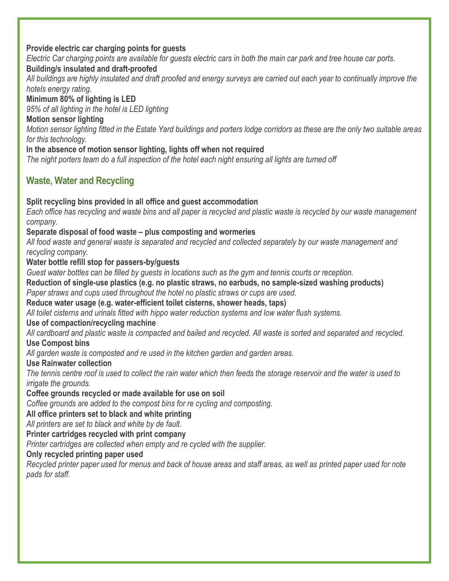### **Provide electric car charging points for guests**

*Electric Car charging points are available for guests electric cars in both the main car park and tree house car ports.*

### **Building/s insulated and draft-proofed**

*All buildings are highly insulated and draft proofed and energy surveys are carried out each year to continually improve the hotels energy rating.*

**Minimum 80% of lighting is LED**

*95% of all lighting in the hotel is LED lighting*

### **Motion sensor lighting**

*Motion sensor lighting fitted in the Estate Yard buildings and porters lodge corridors as these are the only two suitable areas for this technology.*

### **In the absence of motion sensor lighting, lights off when not required**

*The night porters team do a full inspection of the hotel each night ensuring all lights are turned off*

# **Waste, Water and Recycling**

## **Split recycling bins provided in all office and guest accommodation**

*Each office has recycling and waste bins and all paper is recycled and plastic waste is recycled by our waste management company.*

### **Separate disposal of food waste – plus composting and wormeries**

*All food waste and general waste is separated and recycled and collected separately by our waste management and recycling company.*

### **Water bottle refill stop for passers-by/guests**

*Guest water bottles can be filled by guests in locations such as the gym and tennis courts or reception.*

# **Reduction of single-use plastics (e.g. no plastic straws, no earbuds, no sample-sized washing products)**

*Paper straws and cups used throughout the hotel no plastic straws or cups are used.*

### **Reduce water usage (e.g. water-efficient toilet cisterns, shower heads, taps)**

*All toilet cisterns and urinals fitted with hippo water reduction systems and low water flush systems.*

### **Use of compaction/recycling machine**

*All cardboard and plastic waste is compacted and bailed and recycled. All waste is sorted and separated and recycled.* **Use Compost bins**

*All garden waste is composted and re used in the kitchen garden and garden areas.*

### **Use Rainwater collection**

*The tennis centre roof is used to collect the rain water which then feeds the storage reservoir and the water is used to irrigate the grounds.*

### **Coffee grounds recycled or made available for use on soil**

*Coffee grounds are added to the compost bins for re cycling and composting.*

### **All office printers set to black and white printing**

*All printers are set to black and white by de fault.*

**Printer cartridges recycled with print company**

*Printer cartridges are collected when empty and re cycled with the supplier.*

### **Only recycled printing paper used**

*Recycled printer paper used for menus and back of house areas and staff areas, as well as printed paper used for note pads for staff.*